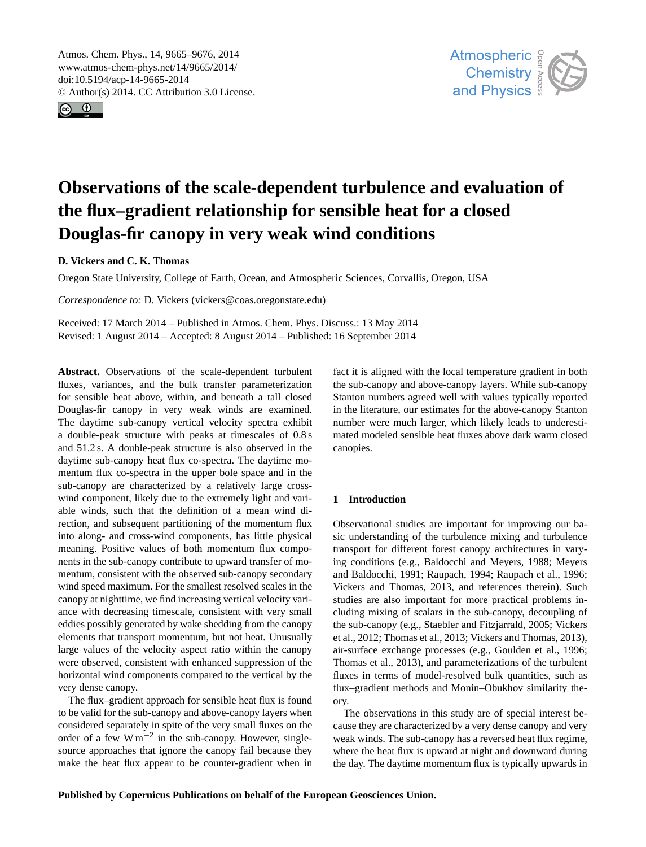<span id="page-0-0"></span>Atmos. Chem. Phys., 14, 9665–9676, 2014 www.atmos-chem-phys.net/14/9665/2014/ doi:10.5194/acp-14-9665-2014 © Author(s) 2014. CC Attribution 3.0 License.





# **Observations of the scale-dependent turbulence and evaluation of the flux–gradient relationship for sensible heat for a closed Douglas-fir canopy in very weak wind conditions**

## **D. Vickers and C. K. Thomas**

Oregon State University, College of Earth, Ocean, and Atmospheric Sciences, Corvallis, Oregon, USA

*Correspondence to:* D. Vickers (vickers@coas.oregonstate.edu)

Received: 17 March 2014 – Published in Atmos. Chem. Phys. Discuss.: 13 May 2014 Revised: 1 August 2014 – Accepted: 8 August 2014 – Published: 16 September 2014

**Abstract.** Observations of the scale-dependent turbulent fluxes, variances, and the bulk transfer parameterization for sensible heat above, within, and beneath a tall closed Douglas-fir canopy in very weak winds are examined. The daytime sub-canopy vertical velocity spectra exhibit a double-peak structure with peaks at timescales of 0.8 s and 51.2 s. A double-peak structure is also observed in the daytime sub-canopy heat flux co-spectra. The daytime momentum flux co-spectra in the upper bole space and in the sub-canopy are characterized by a relatively large crosswind component, likely due to the extremely light and variable winds, such that the definition of a mean wind direction, and subsequent partitioning of the momentum flux into along- and cross-wind components, has little physical meaning. Positive values of both momentum flux components in the sub-canopy contribute to upward transfer of momentum, consistent with the observed sub-canopy secondary wind speed maximum. For the smallest resolved scales in the canopy at nighttime, we find increasing vertical velocity variance with decreasing timescale, consistent with very small eddies possibly generated by wake shedding from the canopy elements that transport momentum, but not heat. Unusually large values of the velocity aspect ratio within the canopy were observed, consistent with enhanced suppression of the horizontal wind components compared to the vertical by the very dense canopy.

The flux–gradient approach for sensible heat flux is found to be valid for the sub-canopy and above-canopy layers when considered separately in spite of the very small fluxes on the order of a few  $W m^{-2}$  in the sub-canopy. However, singlesource approaches that ignore the canopy fail because they make the heat flux appear to be counter-gradient when in fact it is aligned with the local temperature gradient in both the sub-canopy and above-canopy layers. While sub-canopy Stanton numbers agreed well with values typically reported in the literature, our estimates for the above-canopy Stanton number were much larger, which likely leads to underestimated modeled sensible heat fluxes above dark warm closed canopies.

## **1 Introduction**

Observational studies are important for improving our basic understanding of the turbulence mixing and turbulence transport for different forest canopy architectures in varying conditions (e.g., [Baldocchi and Meyers,](#page-10-0) [1988;](#page-10-0) [Meyers](#page-10-1) [and Baldocchi,](#page-10-1) [1991;](#page-10-1) [Raupach,](#page-10-2) [1994;](#page-10-2) [Raupach et al.,](#page-10-3) [1996;](#page-10-3) [Vickers and Thomas,](#page-11-0) [2013,](#page-11-0) and references therein). Such studies are also important for more practical problems including mixing of scalars in the sub-canopy, decoupling of the sub-canopy (e.g., [Staebler and Fitzjarrald,](#page-10-4) [2005;](#page-10-4) [Vickers](#page-11-1) [et al.,](#page-11-1) [2012;](#page-11-1) [Thomas et al.,](#page-11-2) [2013;](#page-11-2) [Vickers and Thomas,](#page-11-0) [2013\)](#page-11-0), air-surface exchange processes (e.g., [Goulden et al.,](#page-10-5) [1996;](#page-10-5) [Thomas et al.,](#page-11-2) [2013\)](#page-11-2), and parameterizations of the turbulent fluxes in terms of model-resolved bulk quantities, such as flux–gradient methods and Monin–Obukhov similarity theory.

The observations in this study are of special interest because they are characterized by a very dense canopy and very weak winds. The sub-canopy has a reversed heat flux regime, where the heat flux is upward at night and downward during the day. The daytime momentum flux is typically upwards in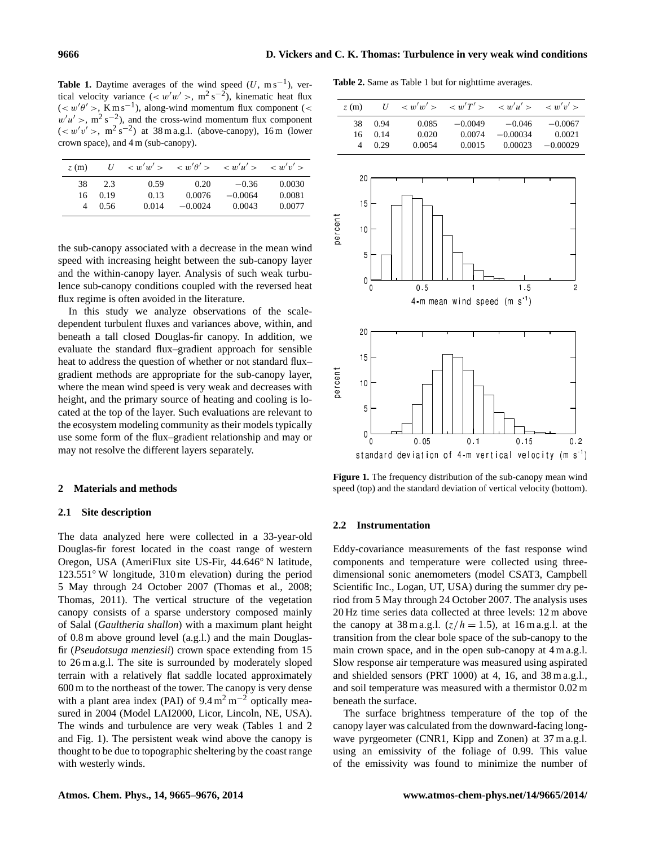**Table 1.** Daytime averages of the wind speed  $(U, m s^{-1})$ , vertical velocity variance  $(<\frac{w'w'}{>}$ , m<sup>2</sup> s<sup>-2</sup>), kinematic heat flux  $(<\omega' \theta' >$ , K m s<sup>-1</sup>), along-wind momentum flux component (<  $w'u' >$ , m<sup>2</sup> s<sup>-2</sup>), and the cross-wind momentum flux component  $( $w'v'$ >,  $m^2 s^{-2}$ ) at 38 m a.g.l. (above-canopy), 16 m (lower$ crown space), and 4 m (sub-canopy).

| z(m)     |             | $U \leq w'w' > \leq w'\theta' > \leq w'u' > \leq w'v' >$ |                |                      |                  |
|----------|-------------|----------------------------------------------------------|----------------|----------------------|------------------|
| 38<br>16 | 2.3<br>0.19 | 0.59<br>0.13                                             | 0.20<br>0.0076 | $-0.36$<br>$-0.0064$ | 0.0030<br>0.0081 |
| 4        | 0.56        | 0.014                                                    | $-0.0024$      | 0.0043               | 0.0077           |

the sub-canopy associated with a decrease in the mean wind speed with increasing height between the sub-canopy layer and the within-canopy layer. Analysis of such weak turbulence sub-canopy conditions coupled with the reversed heat flux regime is often avoided in the literature.

In this study we analyze observations of the scaledependent turbulent fluxes and variances above, within, and beneath a tall closed Douglas-fir canopy. In addition, we evaluate the standard flux–gradient approach for sensible heat to address the question of whether or not standard flux– gradient methods are appropriate for the sub-canopy layer, where the mean wind speed is very weak and decreases with height, and the primary source of heating and cooling is located at the top of the layer. Such evaluations are relevant to the ecosystem modeling community as their models typically use some form of the flux–gradient relationship and may or may not resolve the different layers separately.

#### **2 Materials and methods**

## **2.1 Site description**

The data analyzed here were collected in a 33-year-old Douglas-fir forest located in the coast range of western Oregon, USA (AmeriFlux site US-Fir, 44.646◦ N latitude, 123.551◦ W longitude, 310 m elevation) during the period 5 May through 24 October 2007 [\(Thomas et al.,](#page-11-3) [2008;](#page-11-3) Thomas, 2011). The vertical structure of the vegetation canopy consists of a sparse understory composed mainly of Salal (*Gaultheria shallon*) with a maximum plant height of 0.8 m above ground level (a.g.l.) and the main Douglasfir (*Pseudotsuga menziesii*) crown space extending from 15 to 26 m a.g.l. The site is surrounded by moderately sloped terrain with a relatively flat saddle located approximately 600 m to the northeast of the tower. The canopy is very dense with a plant area index (PAI) of  $9.4 \text{ m}^2 \text{ m}^{-2}$  optically measured in 2004 (Model LAI2000, Licor, Lincoln, NE, USA). The winds and turbulence are very weak (Tables 1 and 2 and Fig. 1). The persistent weak wind above the canopy is thought to be due to topographic sheltering by the coast range with westerly winds.

**Table 2.** Same as Table 1 but for nighttime averages.

| z(m) | U    | $\langle w'w' \rangle$ $\langle w'T' \rangle$ $\langle w'u' \rangle$ $\langle w'w' \rangle$ |           |            |            |
|------|------|---------------------------------------------------------------------------------------------|-----------|------------|------------|
| 38   | 0.94 | 0.085                                                                                       | $-0.0049$ | $-0.046$   | $-0.0067$  |
| 16   | 0.14 | 0.020                                                                                       | 0.0074    | $-0.00034$ | 0.0021     |
| 4    | 0.29 | 0.0054                                                                                      | 0.0015    | 0.00023    | $-0.00029$ |



**Figure 1.** The frequency distribution of the sub-canopy mean wind speed (top) and the standard deviation of vertical velocity (bottom).

## **2.2 Instrumentation**

Eddy-covariance measurements of the fast response wind components and temperature were collected using threedimensional sonic anemometers (model CSAT3, Campbell Scientific Inc., Logan, UT, USA) during the summer dry period from 5 May through 24 October 2007. The analysis uses 20 Hz time series data collected at three levels: 12 m above the canopy at  $38 \text{ m a.g.}$ .  $(z/h = 1.5)$ , at  $16 \text{ m a.g.}$ . at the transition from the clear bole space of the sub-canopy to the main crown space, and in the open sub-canopy at 4 m a.g.l. Slow response air temperature was measured using aspirated and shielded sensors (PRT 1000) at 4, 16, and 38 m a.g.l., and soil temperature was measured with a thermistor 0.02 m beneath the surface.

The surface brightness temperature of the top of the canopy layer was calculated from the downward-facing longwave pyrgeometer (CNR1, Kipp and Zonen) at 37 m a.g.l. using an emissivity of the foliage of 0.99. This value of the emissivity was found to minimize the number of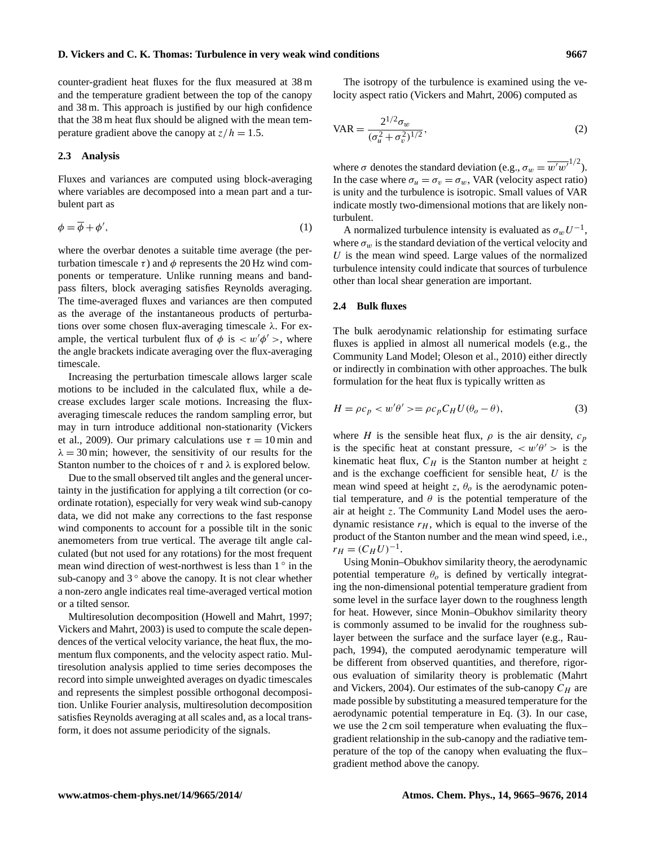#### **D. Vickers and C. K. Thomas: Turbulence in very weak wind conditions 9667**

counter-gradient heat fluxes for the flux measured at 38 m and the temperature gradient between the top of the canopy and 38 m. This approach is justified by our high confidence that the 38 m heat flux should be aligned with the mean temperature gradient above the canopy at  $z/h = 1.5$ .

## **2.3 Analysis**

Fluxes and variances are computed using block-averaging where variables are decomposed into a mean part and a turbulent part as

$$
\phi = \overline{\phi} + \phi',\tag{1}
$$

where the overbar denotes a suitable time average (the perturbation timescale  $\tau$ ) and  $\phi$  represents the 20 Hz wind components or temperature. Unlike running means and bandpass filters, block averaging satisfies Reynolds averaging. The time-averaged fluxes and variances are then computed as the average of the instantaneous products of perturbations over some chosen flux-averaging timescale  $\lambda$ . For example, the vertical turbulent flux of  $\phi$  is  $\langle w' \phi' \rangle$ , where the angle brackets indicate averaging over the flux-averaging timescale.

Increasing the perturbation timescale allows larger scale motions to be included in the calculated flux, while a decrease excludes larger scale motions. Increasing the fluxaveraging timescale reduces the random sampling error, but may in turn introduce additional non-stationarity [\(Vickers](#page-11-4) [et al.,](#page-11-4) [2009\)](#page-11-4). Our primary calculations use  $\tau = 10$  min and  $\lambda = 30$  min; however, the sensitivity of our results for the Stanton number to the choices of  $\tau$  and  $\lambda$  is explored below.

Due to the small observed tilt angles and the general uncertainty in the justification for applying a tilt correction (or coordinate rotation), especially for very weak wind sub-canopy data, we did not make any corrections to the fast response wind components to account for a possible tilt in the sonic anemometers from true vertical. The average tilt angle calculated (but not used for any rotations) for the most frequent mean wind direction of west-northwest is less than  $1°$  in the sub-canopy and  $3°$  above the canopy. It is not clear whether a non-zero angle indicates real time-averaged vertical motion or a tilted sensor.

Multiresolution decomposition [\(Howell and Mahrt,](#page-10-6) [1997;](#page-10-6) [Vickers and Mahrt,](#page-11-5) [2003\)](#page-11-5) is used to compute the scale dependences of the vertical velocity variance, the heat flux, the momentum flux components, and the velocity aspect ratio. Multiresolution analysis applied to time series decomposes the record into simple unweighted averages on dyadic timescales and represents the simplest possible orthogonal decomposition. Unlike Fourier analysis, multiresolution decomposition satisfies Reynolds averaging at all scales and, as a local transform, it does not assume periodicity of the signals.

The isotropy of the turbulence is examined using the velocity aspect ratio [\(Vickers and Mahrt,](#page-11-6) [2006\)](#page-11-6) computed as

$$
VAR = \frac{2^{1/2} \sigma_w}{(\sigma_u^2 + \sigma_v^2)^{1/2}},
$$
\n(2)

where  $\sigma$  denotes the standard deviation (e.g.,  $\sigma_w = \overline{w'w'}^{1/2}$ ). In the case where  $\sigma_u = \sigma_v = \sigma_w$ , VAR (velocity aspect ratio) is unity and the turbulence is isotropic. Small values of VAR indicate mostly two-dimensional motions that are likely nonturbulent.

A normalized turbulence intensity is evaluated as  $\sigma_w U^{-1}$ , where  $\sigma_w$  is the standard deviation of the vertical velocity and  $U$  is the mean wind speed. Large values of the normalized turbulence intensity could indicate that sources of turbulence other than local shear generation are important.

## **2.4 Bulk fluxes**

The bulk aerodynamic relationship for estimating surface fluxes is applied in almost all numerical models (e.g., the Community Land Model; [Oleson et al.,](#page-10-7) [2010\)](#page-10-7) either directly or indirectly in combination with other approaches. The bulk formulation for the heat flux is typically written as

$$
H = \rho c_p < w' \theta' > = \rho c_p C_H U(\theta_o - \theta),\tag{3}
$$

where H is the sensible heat flux,  $\rho$  is the air density,  $c_p$ is the specific heat at constant pressure,  $\langle w' \theta' \rangle$  is the kinematic heat flux,  $C_H$  is the Stanton number at height z and is the exchange coefficient for sensible heat,  $U$  is the mean wind speed at height z,  $\theta_o$  is the aerodynamic potential temperature, and  $\theta$  is the potential temperature of the air at height z. The Community Land Model uses the aerodynamic resistance  $r_H$ , which is equal to the inverse of the product of the Stanton number and the mean wind speed, i.e.,  $r_H = (C_H U)^{-1}.$ 

Using Monin–Obukhov similarity theory, the aerodynamic potential temperature  $\theta_o$  is defined by vertically integrating the non-dimensional potential temperature gradient from some level in the surface layer down to the roughness length for heat. However, since Monin–Obukhov similarity theory is commonly assumed to be invalid for the roughness sublayer between the surface and the surface layer (e.g., [Rau](#page-10-2)[pach,](#page-10-2) [1994\)](#page-10-2), the computed aerodynamic temperature will be different from observed quantities, and therefore, rigorous evaluation of similarity theory is problematic [\(Mahrt](#page-10-8) [and Vickers,](#page-10-8) [2004\)](#page-10-8). Our estimates of the sub-canopy  $C_H$  are made possible by substituting a measured temperature for the aerodynamic potential temperature in Eq. (3). In our case, we use the 2 cm soil temperature when evaluating the flux– gradient relationship in the sub-canopy and the radiative temperature of the top of the canopy when evaluating the flux– gradient method above the canopy.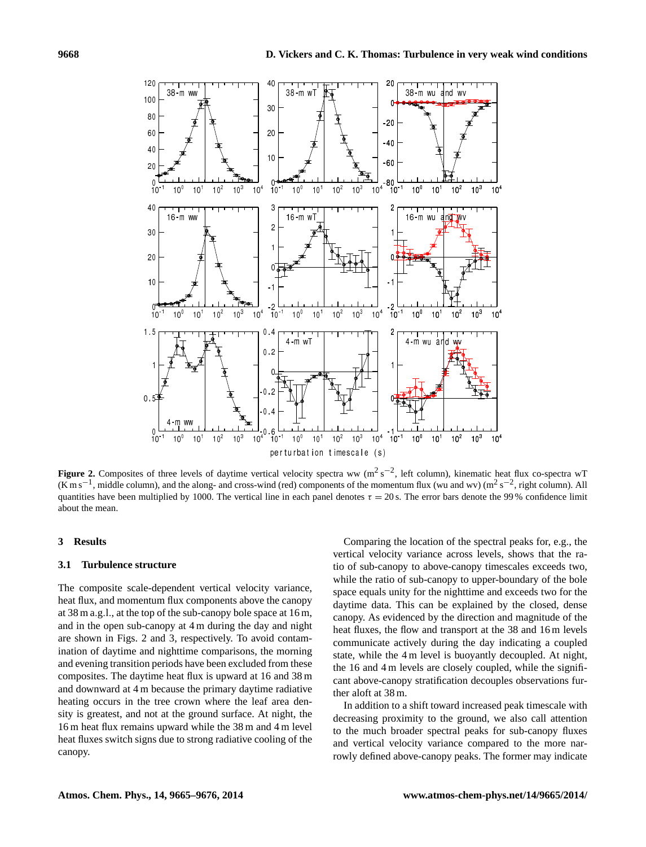

**Figure 2.** Composites of three levels of daytime vertical velocity spectra ww ( $m^2 s^{-2}$ , left column), kinematic heat flux co-spectra wT  $(K \text{ m s}^{-1})$ , middle column), and the along- and cross-wind (red) components of the momentum flux (wu and wv) ( $\text{m}^2$  s<sup>-2</sup>, right column). All quantities have been multiplied by 1000. The vertical line in each panel denotes  $\tau = 20$  s. The error bars denote the 99% confidence limit about the mean.

## **3 Results**

## **3.1 Turbulence structure**

The composite scale-dependent vertical velocity variance, heat flux, and momentum flux components above the canopy at 38 m a.g.l., at the top of the sub-canopy bole space at 16 m, and in the open sub-canopy at 4 m during the day and night are shown in Figs. 2 and 3, respectively. To avoid contamination of daytime and nighttime comparisons, the morning and evening transition periods have been excluded from these composites. The daytime heat flux is upward at 16 and 38 m and downward at 4 m because the primary daytime radiative heating occurs in the tree crown where the leaf area density is greatest, and not at the ground surface. At night, the 16 m heat flux remains upward while the 38 m and 4 m level heat fluxes switch signs due to strong radiative cooling of the canopy.

Comparing the location of the spectral peaks for, e.g., the vertical velocity variance across levels, shows that the ratio of sub-canopy to above-canopy timescales exceeds two, while the ratio of sub-canopy to upper-boundary of the bole space equals unity for the nighttime and exceeds two for the daytime data. This can be explained by the closed, dense canopy. As evidenced by the direction and magnitude of the heat fluxes, the flow and transport at the 38 and 16 m levels communicate actively during the day indicating a coupled state, while the 4 m level is buoyantly decoupled. At night, the 16 and 4 m levels are closely coupled, while the significant above-canopy stratification decouples observations further aloft at 38 m.

In addition to a shift toward increased peak timescale with decreasing proximity to the ground, we also call attention to the much broader spectral peaks for sub-canopy fluxes and vertical velocity variance compared to the more narrowly defined above-canopy peaks. The former may indicate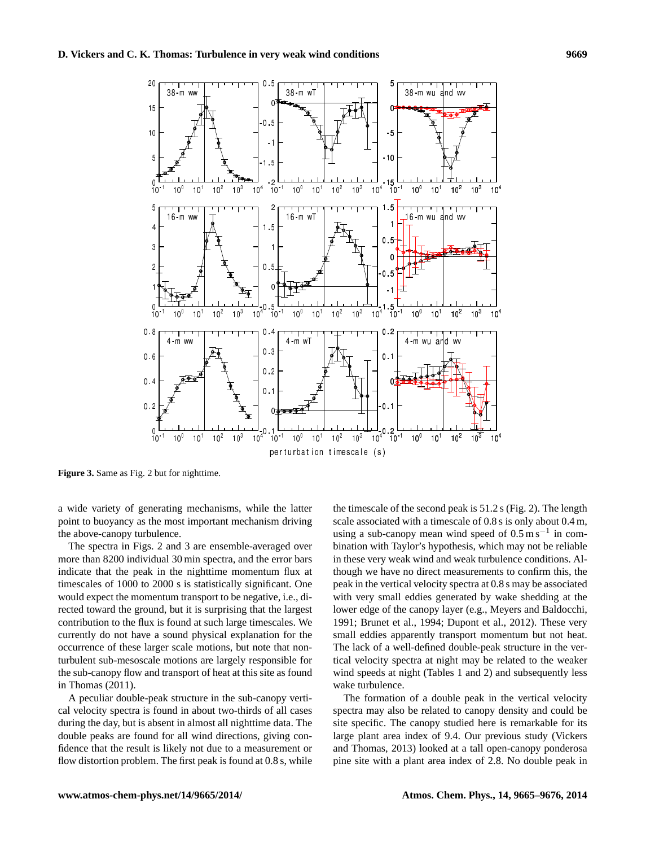

**Figure 3.** Same as Fig. 2 but for nighttime.

a wide variety of generating mechanisms, while the latter point to buoyancy as the most important mechanism driving the above-canopy turbulence.

The spectra in Figs. 2 and 3 are ensemble-averaged over more than 8200 individual 30 min spectra, and the error bars indicate that the peak in the nighttime momentum flux at timescales of 1000 to 2000 s is statistically significant. One would expect the momentum transport to be negative, i.e., directed toward the ground, but it is surprising that the largest contribution to the flux is found at such large timescales. We currently do not have a sound physical explanation for the occurrence of these larger scale motions, but note that nonturbulent sub-mesoscale motions are largely responsible for the sub-canopy flow and transport of heat at this site as found in Thomas (2011).

A peculiar double-peak structure in the sub-canopy vertical velocity spectra is found in about two-thirds of all cases during the day, but is absent in almost all nighttime data. The double peaks are found for all wind directions, giving confidence that the result is likely not due to a measurement or flow distortion problem. The first peak is found at 0.8 s, while the timescale of the second peak is 51.2 s (Fig. 2). The length scale associated with a timescale of 0.8 s is only about 0.4 m, using a sub-canopy mean wind speed of  $0.5 \text{ m s}^{-1}$  in combination with Taylor's hypothesis, which may not be reliable in these very weak wind and weak turbulence conditions. Although we have no direct measurements to confirm this, the peak in the vertical velocity spectra at 0.8 s may be associated with very small eddies generated by wake shedding at the lower edge of the canopy layer (e.g., [Meyers and Baldocchi,](#page-10-1) [1991;](#page-10-1) [Brunet et al.,](#page-10-9) [1994;](#page-10-9) [Dupont et al.,](#page-10-10) [2012\)](#page-10-10). These very small eddies apparently transport momentum but not heat. The lack of a well-defined double-peak structure in the vertical velocity spectra at night may be related to the weaker wind speeds at night (Tables 1 and 2) and subsequently less wake turbulence.

The formation of a double peak in the vertical velocity spectra may also be related to canopy density and could be site specific. The canopy studied here is remarkable for its large plant area index of 9.4. Our previous study (Vickers and Thomas, 2013) looked at a tall open-canopy ponderosa pine site with a plant area index of 2.8. No double peak in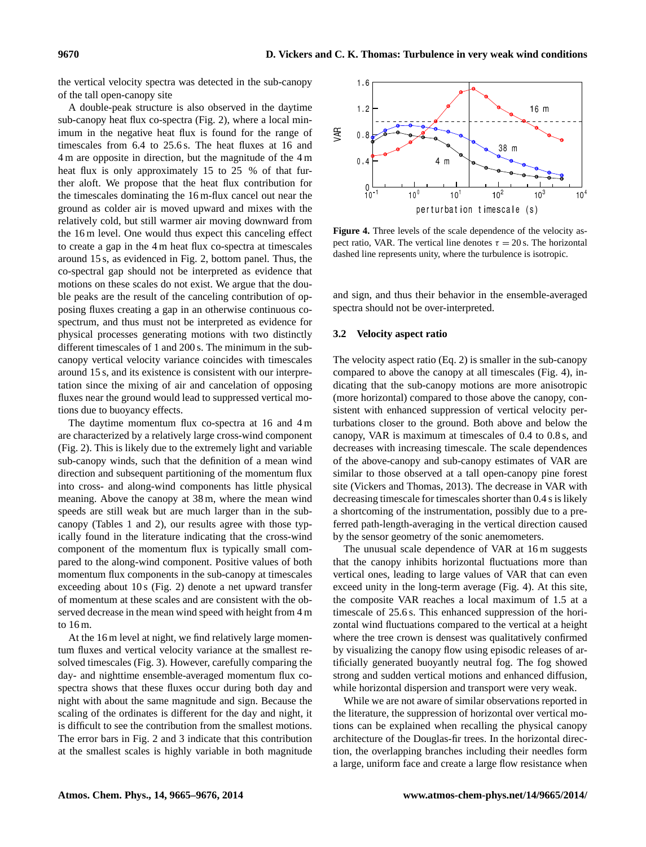the vertical velocity spectra was detected in the sub-canopy of the tall open-canopy site

A double-peak structure is also observed in the daytime sub-canopy heat flux co-spectra (Fig. 2), where a local minimum in the negative heat flux is found for the range of timescales from 6.4 to 25.6 s. The heat fluxes at 16 and 4 m are opposite in direction, but the magnitude of the 4 m heat flux is only approximately 15 to 25 % of that further aloft. We propose that the heat flux contribution for the timescales dominating the 16 m-flux cancel out near the ground as colder air is moved upward and mixes with the relatively cold, but still warmer air moving downward from the 16 m level. One would thus expect this canceling effect to create a gap in the 4 m heat flux co-spectra at timescales around 15 s, as evidenced in Fig. 2, bottom panel. Thus, the co-spectral gap should not be interpreted as evidence that motions on these scales do not exist. We argue that the double peaks are the result of the canceling contribution of opposing fluxes creating a gap in an otherwise continuous cospectrum, and thus must not be interpreted as evidence for physical processes generating motions with two distinctly different timescales of 1 and 200 s. The minimum in the subcanopy vertical velocity variance coincides with timescales around 15 s, and its existence is consistent with our interpretation since the mixing of air and cancelation of opposing fluxes near the ground would lead to suppressed vertical motions due to buoyancy effects.

The daytime momentum flux co-spectra at 16 and 4 m are characterized by a relatively large cross-wind component (Fig. 2). This is likely due to the extremely light and variable sub-canopy winds, such that the definition of a mean wind direction and subsequent partitioning of the momentum flux into cross- and along-wind components has little physical meaning. Above the canopy at 38 m, where the mean wind speeds are still weak but are much larger than in the subcanopy (Tables 1 and 2), our results agree with those typically found in the literature indicating that the cross-wind component of the momentum flux is typically small compared to the along-wind component. Positive values of both momentum flux components in the sub-canopy at timescales exceeding about 10 s (Fig. 2) denote a net upward transfer of momentum at these scales and are consistent with the observed decrease in the mean wind speed with height from 4 m to 16 m.

At the 16 m level at night, we find relatively large momentum fluxes and vertical velocity variance at the smallest resolved timescales (Fig. 3). However, carefully comparing the day- and nighttime ensemble-averaged momentum flux cospectra shows that these fluxes occur during both day and night with about the same magnitude and sign. Because the scaling of the ordinates is different for the day and night, it is difficult to see the contribution from the smallest motions. The error bars in Fig. 2 and 3 indicate that this contribution at the smallest scales is highly variable in both magnitude



**Figure 4.** Three levels of the scale dependence of the velocity aspect ratio, VAR. The vertical line denotes  $\tau = 20$  s. The horizontal dashed line represents unity, where the turbulence is isotropic.

and sign, and thus their behavior in the ensemble-averaged spectra should not be over-interpreted.

## **3.2 Velocity aspect ratio**

The velocity aspect ratio (Eq. 2) is smaller in the sub-canopy compared to above the canopy at all timescales (Fig. 4), indicating that the sub-canopy motions are more anisotropic (more horizontal) compared to those above the canopy, consistent with enhanced suppression of vertical velocity perturbations closer to the ground. Both above and below the canopy, VAR is maximum at timescales of 0.4 to 0.8 s, and decreases with increasing timescale. The scale dependences of the above-canopy and sub-canopy estimates of VAR are similar to those observed at a tall open-canopy pine forest site [\(Vickers and Thomas,](#page-11-0) [2013\)](#page-11-0). The decrease in VAR with decreasing timescale for timescales shorter than 0.4 s is likely a shortcoming of the instrumentation, possibly due to a preferred path-length-averaging in the vertical direction caused by the sensor geometry of the sonic anemometers.

The unusual scale dependence of VAR at 16 m suggests that the canopy inhibits horizontal fluctuations more than vertical ones, leading to large values of VAR that can even exceed unity in the long-term average (Fig. 4). At this site, the composite VAR reaches a local maximum of 1.5 at a timescale of 25.6 s. This enhanced suppression of the horizontal wind fluctuations compared to the vertical at a height where the tree crown is densest was qualitatively confirmed by visualizing the canopy flow using episodic releases of artificially generated buoyantly neutral fog. The fog showed strong and sudden vertical motions and enhanced diffusion, while horizontal dispersion and transport were very weak.

While we are not aware of similar observations reported in the literature, the suppression of horizontal over vertical motions can be explained when recalling the physical canopy architecture of the Douglas-fir trees. In the horizontal direction, the overlapping branches including their needles form a large, uniform face and create a large flow resistance when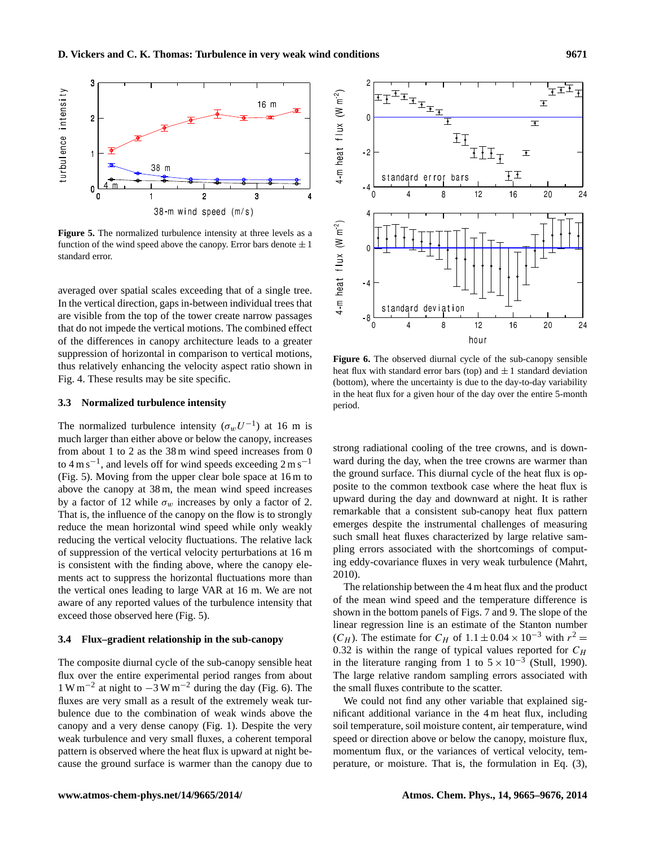

**Figure 5.** The normalized turbulence intensity at three levels as a function of the wind speed above the canopy. Error bars denote  $\pm 1$ standard error.

averaged over spatial scales exceeding that of a single tree. In the vertical direction, gaps in-between individual trees that are visible from the top of the tower create narrow passages that do not impede the vertical motions. The combined effect of the differences in canopy architecture leads to a greater suppression of horizontal in comparison to vertical motions, thus relatively enhancing the velocity aspect ratio shown in Fig. 4. These results may be site specific.

#### **3.3 Normalized turbulence intensity**

The normalized turbulence intensity  $(\sigma_w U^{-1})$  at 16 m is much larger than either above or below the canopy, increases from about 1 to 2 as the 38 m wind speed increases from 0 to  $4 \text{ m s}^{-1}$ , and levels off for wind speeds exceeding  $2 \text{ m s}^{-1}$ (Fig. 5). Moving from the upper clear bole space at 16 m to above the canopy at 38 m, the mean wind speed increases by a factor of 12 while  $\sigma_w$  increases by only a factor of 2. That is, the influence of the canopy on the flow is to strongly reduce the mean horizontal wind speed while only weakly reducing the vertical velocity fluctuations. The relative lack of suppression of the vertical velocity perturbations at 16 m is consistent with the finding above, where the canopy elements act to suppress the horizontal fluctuations more than the vertical ones leading to large VAR at 16 m. We are not aware of any reported values of the turbulence intensity that exceed those observed here (Fig. 5).

## **3.4 Flux–gradient relationship in the sub-canopy**

The composite diurnal cycle of the sub-canopy sensible heat flux over the entire experimental period ranges from about  $1 \text{ W m}^{-2}$  at night to  $-3 \text{ W m}^{-2}$  during the day (Fig. 6). The fluxes are very small as a result of the extremely weak turbulence due to the combination of weak winds above the canopy and a very dense canopy (Fig. 1). Despite the very weak turbulence and very small fluxes, a coherent temporal pattern is observed where the heat flux is upward at night because the ground surface is warmer than the canopy due to



**Figure 6.** The observed diurnal cycle of the sub-canopy sensible heat flux with standard error bars (top) and  $\pm 1$  standard deviation (bottom), where the uncertainty is due to the day-to-day variability in the heat flux for a given hour of the day over the entire 5-month period.

strong radiational cooling of the tree crowns, and is downward during the day, when the tree crowns are warmer than the ground surface. This diurnal cycle of the heat flux is opposite to the common textbook case where the heat flux is upward during the day and downward at night. It is rather remarkable that a consistent sub-canopy heat flux pattern emerges despite the instrumental challenges of measuring such small heat fluxes characterized by large relative sampling errors associated with the shortcomings of computing eddy-covariance fluxes in very weak turbulence [\(Mahrt,](#page-10-11) [2010\)](#page-10-11).

The relationship between the 4 m heat flux and the product of the mean wind speed and the temperature difference is shown in the bottom panels of Figs. 7 and 9. The slope of the linear regression line is an estimate of the Stanton number  $(C_H)$ . The estimate for  $C_H$  of  $1.1 \pm 0.04 \times 10^{-3}$  with  $r^2 =$ 0.32 is within the range of typical values reported for  $C_H$ in the literature ranging from 1 to  $5 \times 10^{-3}$  [\(Stull,](#page-10-12) [1990\)](#page-10-12). The large relative random sampling errors associated with the small fluxes contribute to the scatter.

We could not find any other variable that explained significant additional variance in the 4 m heat flux, including soil temperature, soil moisture content, air temperature, wind speed or direction above or below the canopy, moisture flux, momentum flux, or the variances of vertical velocity, temperature, or moisture. That is, the formulation in Eq. (3),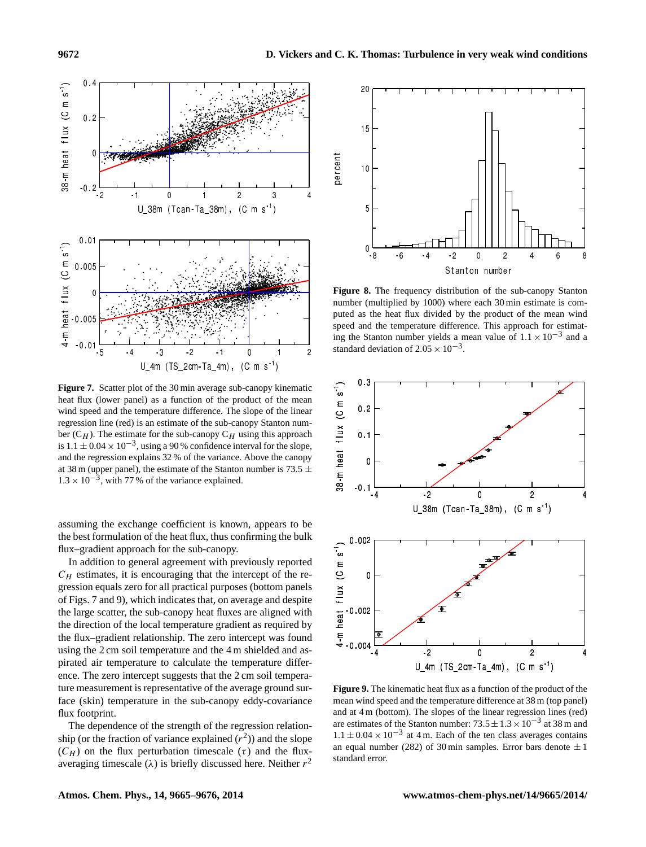

**Figure 7.** Scatter plot of the 30 min average sub-canopy kinematic heat flux (lower panel) as a function of the product of the mean wind speed and the temperature difference. The slope of the linear regression line (red) is an estimate of the sub-canopy Stanton number  $(C_H)$ . The estimate for the sub-canopy  $C_H$  using this approach is  $1.1 \pm 0.04 \times 10^{-3}$ , using a 90 % confidence interval for the slope, and the regression explains 32 % of the variance. Above the canopy at 38 m (upper panel), the estimate of the Stanton number is 73.5  $\pm$  $1.3 \times 10^{-3}$ , with 77% of the variance explained.

assuming the exchange coefficient is known, appears to be the best formulation of the heat flux, thus confirming the bulk flux–gradient approach for the sub-canopy.

In addition to general agreement with previously reported  $C_H$  estimates, it is encouraging that the intercept of the regression equals zero for all practical purposes (bottom panels of Figs. 7 and 9), which indicates that, on average and despite the large scatter, the sub-canopy heat fluxes are aligned with the direction of the local temperature gradient as required by the flux–gradient relationship. The zero intercept was found using the 2 cm soil temperature and the 4 m shielded and aspirated air temperature to calculate the temperature difference. The zero intercept suggests that the 2 cm soil temperature measurement is representative of the average ground surface (skin) temperature in the sub-canopy eddy-covariance flux footprint.

The dependence of the strength of the regression relationship (or the fraction of variance explained  $(r^2)$ ) and the slope  $(C_H)$  on the flux perturbation timescale  $(\tau)$  and the fluxaveraging timescale ( $\lambda$ ) is briefly discussed here. Neither  $r^2$ 



**Figure 8.** The frequency distribution of the sub-canopy Stanton number (multiplied by 1000) where each 30 min estimate is computed as the heat flux divided by the product of the mean wind speed and the temperature difference. This approach for estimating the Stanton number yields a mean value of  $1.1 \times 10^{-3}$  and a standard deviation of  $2.05 \times 10^{-3}$ .



**Figure 9.** The kinematic heat flux as a function of the product of the mean wind speed and the temperature difference at 38 m (top panel) and at 4 m (bottom). The slopes of the linear regression lines (red) are estimates of the Stanton number:  $73.5 \pm 1.3 \times 10^{-3}$  at 38 m and  $1.1 \pm 0.04 \times 10^{-3}$  at 4 m. Each of the ten class averages contains an equal number (282) of 30 min samples. Error bars denote  $\pm 1$ standard error.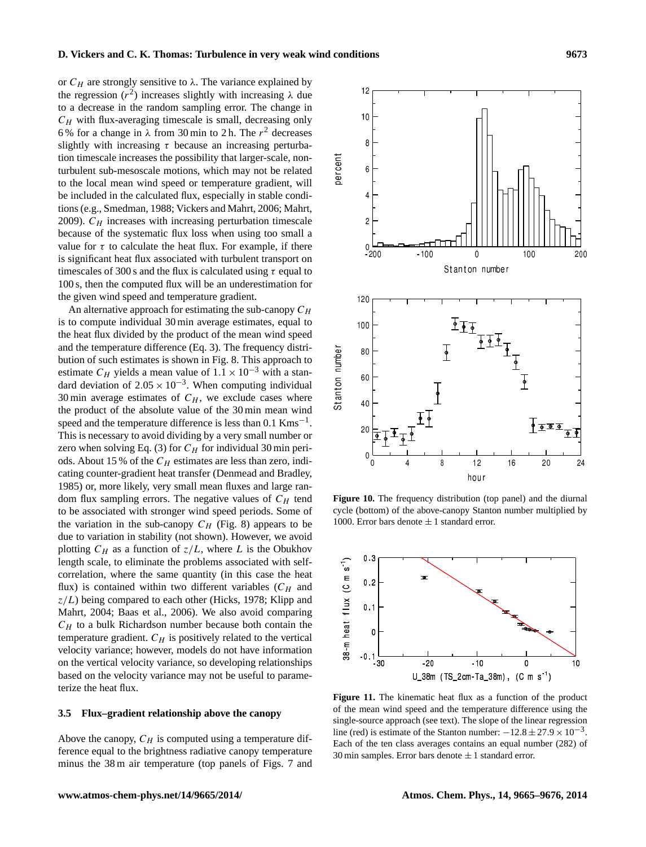or  $C_H$  are strongly sensitive to  $\lambda$ . The variance explained by the regression  $(r^2)$  increases slightly with increasing  $\lambda$  due to a decrease in the random sampling error. The change in  $C_H$  with flux-averaging timescale is small, decreasing only 6% for a change in  $\lambda$  from 30 min to 2 h. The  $r^2$  decreases slightly with increasing  $\tau$  because an increasing perturbation timescale increases the possibility that larger-scale, nonturbulent sub-mesoscale motions, which may not be related to the local mean wind speed or temperature gradient, will be included in the calculated flux, especially in stable conditions (e.g., [Smedman,](#page-10-13) [1988;](#page-10-13) [Vickers and Mahrt,](#page-11-6) [2006;](#page-11-6) [Mahrt,](#page-10-14) [2009\)](#page-10-14).  $C_H$  increases with increasing perturbation timescale because of the systematic flux loss when using too small a value for  $\tau$  to calculate the heat flux. For example, if there is significant heat flux associated with turbulent transport on timescales of 300 s and the flux is calculated using  $\tau$  equal to 100 s, then the computed flux will be an underestimation for the given wind speed and temperature gradient.

An alternative approach for estimating the sub-canopy  $C_H$ is to compute individual 30 min average estimates, equal to the heat flux divided by the product of the mean wind speed and the temperature difference (Eq. 3). The frequency distribution of such estimates is shown in Fig. 8. This approach to estimate  $C_H$  yields a mean value of  $1.1 \times 10^{-3}$  with a standard deviation of  $2.05 \times 10^{-3}$ . When computing individual 30 min average estimates of  $C_H$ , we exclude cases where the product of the absolute value of the 30 min mean wind speed and the temperature difference is less than  $0.1 \text{ Kms}^{-1}$ . This is necessary to avoid dividing by a very small number or zero when solving Eq. (3) for  $C_H$  for individual 30 min periods. About 15 % of the  $C_H$  estimates are less than zero, indicating counter-gradient heat transfer (Denmead and Bradley, 1985) or, more likely, very small mean fluxes and large random flux sampling errors. The negative values of  $C_H$  tend to be associated with stronger wind speed periods. Some of the variation in the sub-canopy  $C_H$  (Fig. 8) appears to be due to variation in stability (not shown). However, we avoid plotting  $C_H$  as a function of  $z/L$ , where L is the Obukhov length scale, to eliminate the problems associated with selfcorrelation, where the same quantity (in this case the heat flux) is contained within two different variables  $(C_H$  and  $z/L$ ) being compared to each other [\(Hicks,](#page-10-15) [1978;](#page-10-15) [Klipp and](#page-10-16) [Mahrt,](#page-10-16) [2004;](#page-10-16) [Baas et al.,](#page-10-17) [2006\)](#page-10-17). We also avoid comparing  $C_H$  to a bulk Richardson number because both contain the temperature gradient.  $C_H$  is positively related to the vertical velocity variance; however, models do not have information on the vertical velocity variance, so developing relationships based on the velocity variance may not be useful to parameterize the heat flux.

## **3.5 Flux–gradient relationship above the canopy**

Above the canopy,  $C_H$  is computed using a temperature difference equal to the brightness radiative canopy temperature minus the 38 m air temperature (top panels of Figs. 7 and

**Figure 10.** The frequency distribution (top panel) and the diurnal cycle (bottom) of the above-canopy Stanton number multiplied by 1000. Error bars denote  $\pm$  1 standard error.



**Figure 11.** The kinematic heat flux as a function of the product of the mean wind speed and the temperature difference using the single-source approach (see text). The slope of the linear regression line (red) is estimate of the Stanton number:  $-12.8 \pm 27.9 \times 10^{-3}$ . Each of the ten class averages contains an equal number (282) of 30 min samples. Error bars denote  $\pm$  1 standard error.

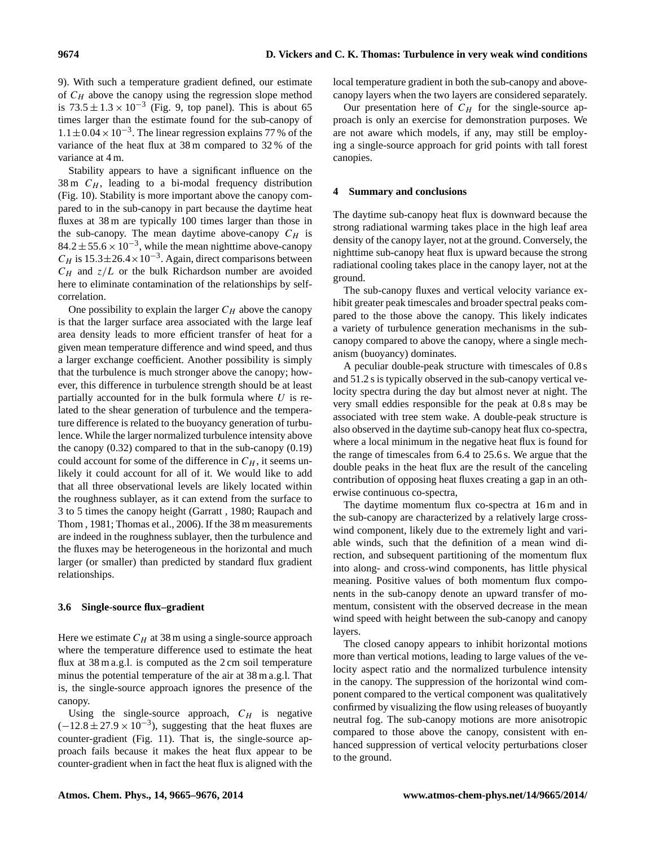9). With such a temperature gradient defined, our estimate of  $C_H$  above the canopy using the regression slope method is  $73.5 \pm 1.3 \times 10^{-3}$  (Fig. 9, top panel). This is about 65 times larger than the estimate found for the sub-canopy of  $1.1 \pm 0.04 \times 10^{-3}$ . The linear regression explains 77 % of the variance of the heat flux at 38 m compared to 32 % of the variance at 4 m.

Stability appears to have a significant influence on the 38 m  $C_H$ , leading to a bi-modal frequency distribution (Fig. 10). Stability is more important above the canopy compared to in the sub-canopy in part because the daytime heat fluxes at 38 m are typically 100 times larger than those in the sub-canopy. The mean daytime above-canopy  $C_H$  is  $84.2 \pm 55.6 \times 10^{-3}$ , while the mean nighttime above-canopy  $C_H$  is 15.3 $\pm$ 26.4 × 10<sup>-3</sup>. Again, direct comparisons between  $C_H$  and  $z/L$  or the bulk Richardson number are avoided here to eliminate contamination of the relationships by selfcorrelation.

One possibility to explain the larger  $C_H$  above the canopy is that the larger surface area associated with the large leaf area density leads to more efficient transfer of heat for a given mean temperature difference and wind speed, and thus a larger exchange coefficient. Another possibility is simply that the turbulence is much stronger above the canopy; however, this difference in turbulence strength should be at least partially accounted for in the bulk formula where  $U$  is related to the shear generation of turbulence and the temperature difference is related to the buoyancy generation of turbulence. While the larger normalized turbulence intensity above the canopy  $(0.32)$  compared to that in the sub-canopy  $(0.19)$ could account for some of the difference in  $C_H$ , it seems unlikely it could account for all of it. We would like to add that all three observational levels are likely located within the roughness sublayer, as it can extend from the surface to 3 to 5 times the canopy height [\(Garratt](#page-10-18) , [1980;](#page-10-18) [Raupach and](#page-10-19) [Thom](#page-10-19) , [1981;](#page-10-19) [Thomas et al.,](#page-11-7) [2006\)](#page-11-7). If the 38 m measurements are indeed in the roughness sublayer, then the turbulence and the fluxes may be heterogeneous in the horizontal and much larger (or smaller) than predicted by standard flux gradient relationships.

#### **3.6 Single-source flux–gradient**

Here we estimate  $C_H$  at 38 m using a single-source approach where the temperature difference used to estimate the heat flux at 38 m a.g.l. is computed as the 2 cm soil temperature minus the potential temperature of the air at 38 m a.g.l. That is, the single-source approach ignores the presence of the canopy.

Using the single-source approach,  $C_H$  is negative  $(-12.8 \pm 27.9 \times 10^{-3})$ , suggesting that the heat fluxes are counter-gradient (Fig. 11). That is, the single-source approach fails because it makes the heat flux appear to be counter-gradient when in fact the heat flux is aligned with the local temperature gradient in both the sub-canopy and abovecanopy layers when the two layers are considered separately.

Our presentation here of  $C_H$  for the single-source approach is only an exercise for demonstration purposes. We are not aware which models, if any, may still be employing a single-source approach for grid points with tall forest canopies.

### **4 Summary and conclusions**

The daytime sub-canopy heat flux is downward because the strong radiational warming takes place in the high leaf area density of the canopy layer, not at the ground. Conversely, the nighttime sub-canopy heat flux is upward because the strong radiational cooling takes place in the canopy layer, not at the ground.

The sub-canopy fluxes and vertical velocity variance exhibit greater peak timescales and broader spectral peaks compared to the those above the canopy. This likely indicates a variety of turbulence generation mechanisms in the subcanopy compared to above the canopy, where a single mechanism (buoyancy) dominates.

A peculiar double-peak structure with timescales of 0.8 s and 51.2 s is typically observed in the sub-canopy vertical velocity spectra during the day but almost never at night. The very small eddies responsible for the peak at 0.8 s may be associated with tree stem wake. A double-peak structure is also observed in the daytime sub-canopy heat flux co-spectra, where a local minimum in the negative heat flux is found for the range of timescales from 6.4 to 25.6 s. We argue that the double peaks in the heat flux are the result of the canceling contribution of opposing heat fluxes creating a gap in an otherwise continuous co-spectra,

The daytime momentum flux co-spectra at 16 m and in the sub-canopy are characterized by a relatively large crosswind component, likely due to the extremely light and variable winds, such that the definition of a mean wind direction, and subsequent partitioning of the momentum flux into along- and cross-wind components, has little physical meaning. Positive values of both momentum flux components in the sub-canopy denote an upward transfer of momentum, consistent with the observed decrease in the mean wind speed with height between the sub-canopy and canopy layers.

The closed canopy appears to inhibit horizontal motions more than vertical motions, leading to large values of the velocity aspect ratio and the normalized turbulence intensity in the canopy. The suppression of the horizontal wind component compared to the vertical component was qualitatively confirmed by visualizing the flow using releases of buoyantly neutral fog. The sub-canopy motions are more anisotropic compared to those above the canopy, consistent with enhanced suppression of vertical velocity perturbations closer to the ground.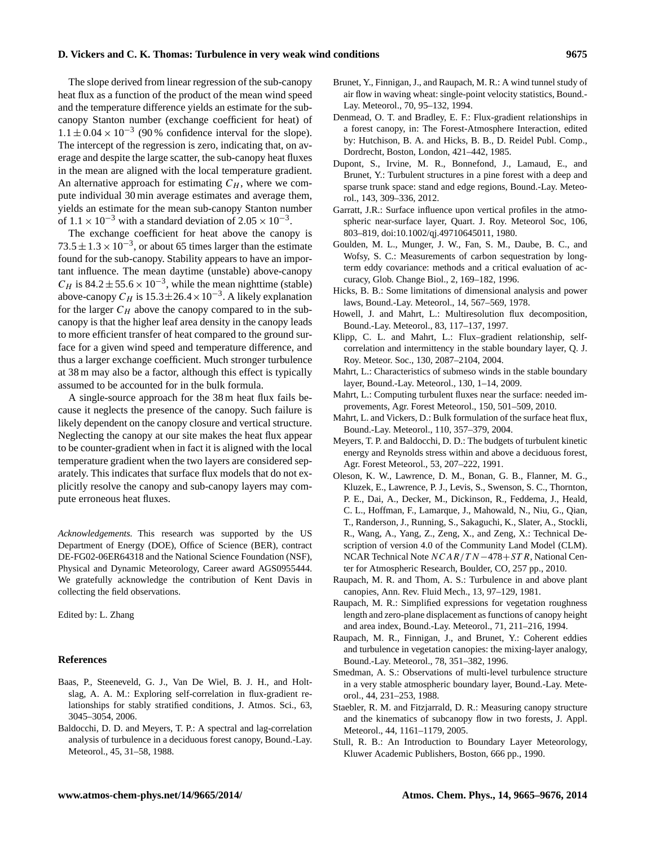#### **D. Vickers and C. K. Thomas: Turbulence in very weak wind conditions 9675**

The slope derived from linear regression of the sub-canopy heat flux as a function of the product of the mean wind speed and the temperature difference yields an estimate for the subcanopy Stanton number (exchange coefficient for heat) of  $1.1 \pm 0.04 \times 10^{-3}$  (90% confidence interval for the slope). The intercept of the regression is zero, indicating that, on average and despite the large scatter, the sub-canopy heat fluxes in the mean are aligned with the local temperature gradient. An alternative approach for estimating  $C_H$ , where we compute individual 30 min average estimates and average them, yields an estimate for the mean sub-canopy Stanton number of  $1.1 \times 10^{-3}$  with a standard deviation of  $2.05 \times 10^{-3}$ .

The exchange coefficient for heat above the canopy is  $73.5 \pm 1.3 \times 10^{-3}$ , or about 65 times larger than the estimate found for the sub-canopy. Stability appears to have an important influence. The mean daytime (unstable) above-canopy  $C_H$  is 84.2 ± 55.6 × 10<sup>-3</sup>, while the mean nighttime (stable) above-canopy  $C_H$  is 15.3 $\pm$ 26.4 × 10<sup>-3</sup>. A likely explanation for the larger  $C_H$  above the canopy compared to in the subcanopy is that the higher leaf area density in the canopy leads to more efficient transfer of heat compared to the ground surface for a given wind speed and temperature difference, and thus a larger exchange coefficient. Much stronger turbulence at 38 m may also be a factor, although this effect is typically assumed to be accounted for in the bulk formula.

A single-source approach for the 38 m heat flux fails because it neglects the presence of the canopy. Such failure is likely dependent on the canopy closure and vertical structure. Neglecting the canopy at our site makes the heat flux appear to be counter-gradient when in fact it is aligned with the local temperature gradient when the two layers are considered separately. This indicates that surface flux models that do not explicitly resolve the canopy and sub-canopy layers may compute erroneous heat fluxes.

*Acknowledgements.* This research was supported by the US Department of Energy (DOE), Office of Science (BER), contract DE-FG02-06ER64318 and the National Science Foundation (NSF), Physical and Dynamic Meteorology, Career award AGS0955444. We gratefully acknowledge the contribution of Kent Davis in collecting the field observations.

Edited by: L. Zhang

#### **References**

- <span id="page-10-17"></span>Baas, P., Steeneveld, G. J., Van De Wiel, B. J. H., and Holtslag, A. A. M.: Exploring self-correlation in flux-gradient relationships for stably stratified conditions, J. Atmos. Sci., 63, 3045–3054, 2006.
- <span id="page-10-0"></span>Baldocchi, D. D. and Meyers, T. P.: A spectral and lag-correlation analysis of turbulence in a deciduous forest canopy, Bound.-Lay. Meteorol., 45, 31–58, 1988.
- <span id="page-10-9"></span>Brunet, Y., Finnigan, J., and Raupach, M. R.: A wind tunnel study of air flow in waving wheat: single-point velocity statistics, Bound.- Lay. Meteorol., 70, 95–132, 1994.
- Denmead, O. T. and Bradley, E. F.: Flux-gradient relationships in a forest canopy, in: The Forest-Atmosphere Interaction, edited by: Hutchison, B. A. and Hicks, B. B., D. Reidel Publ. Comp., Dordrecht, Boston, London, 421–442, 1985.
- <span id="page-10-10"></span>Dupont, S., Irvine, M. R., Bonnefond, J., Lamaud, E., and Brunet, Y.: Turbulent structures in a pine forest with a deep and sparse trunk space: stand and edge regions, Bound.-Lay. Meteorol., 143, 309–336, 2012.
- <span id="page-10-18"></span>Garratt, J.R.: Surface influence upon vertical profiles in the atmospheric near-surface layer, Quart. J. Roy. Meteorol Soc, 106, 803–819, doi[:10.1002/qj.49710645011,](http://dx.doi.org/10.1002/qj.49710645011) 1980.
- <span id="page-10-5"></span>Goulden, M. L., Munger, J. W., Fan, S. M., Daube, B. C., and Wofsy, S. C.: Measurements of carbon sequestration by longterm eddy covariance: methods and a critical evaluation of accuracy, Glob. Change Biol., 2, 169–182, 1996.
- <span id="page-10-15"></span>Hicks, B. B.: Some limitations of dimensional analysis and power laws, Bound.-Lay. Meteorol., 14, 567–569, 1978.
- <span id="page-10-6"></span>Howell, J. and Mahrt, L.: Multiresolution flux decomposition, Bound.-Lay. Meteorol., 83, 117–137, 1997.
- <span id="page-10-16"></span>Klipp, C. L. and Mahrt, L.: Flux–gradient relationship, selfcorrelation and intermittency in the stable boundary layer, Q. J. Roy. Meteor. Soc., 130, 2087–2104, 2004.
- <span id="page-10-14"></span>Mahrt, L.: Characteristics of submeso winds in the stable boundary layer, Bound.-Lay. Meteorol., 130, 1–14, 2009.
- <span id="page-10-11"></span>Mahrt, L.: Computing turbulent fluxes near the surface: needed improvements, Agr. Forest Meteorol., 150, 501–509, 2010.
- <span id="page-10-8"></span>Mahrt, L. and Vickers, D.: Bulk formulation of the surface heat flux, Bound.-Lay. Meteorol., 110, 357–379, 2004.
- <span id="page-10-1"></span>Meyers, T. P. and Baldocchi, D. D.: The budgets of turbulent kinetic energy and Reynolds stress within and above a deciduous forest, Agr. Forest Meteorol., 53, 207–222, 1991.
- <span id="page-10-7"></span>Oleson, K. W., Lawrence, D. M., Bonan, G. B., Flanner, M. G., Kluzek, E., Lawrence, P. J., Levis, S., Swenson, S. C., Thornton, P. E., Dai, A., Decker, M., Dickinson, R., Feddema, J., Heald, C. L., Hoffman, F., Lamarque, J., Mahowald, N., Niu, G., Qian, T., Randerson, J., Running, S., Sakaguchi, K., Slater, A., Stockli, R., Wang, A., Yang, Z., Zeng, X., and Zeng, X.: Technical Description of version 4.0 of the Community Land Model (CLM). NCAR Technical Note  $NCAR/TN-478+STR$ , National Center for Atmospheric Research, Boulder, CO, 257 pp., 2010.
- <span id="page-10-19"></span>Raupach, M. R. and Thom, A. S.: Turbulence in and above plant canopies, Ann. Rev. Fluid Mech., 13, 97–129, 1981.
- <span id="page-10-2"></span>Raupach, M. R.: Simplified expressions for vegetation roughness length and zero-plane displacement as functions of canopy height and area index, Bound.-Lay. Meteorol., 71, 211–216, 1994.
- <span id="page-10-3"></span>Raupach, M. R., Finnigan, J., and Brunet, Y.: Coherent eddies and turbulence in vegetation canopies: the mixing-layer analogy, Bound.-Lay. Meteorol., 78, 351–382, 1996.
- <span id="page-10-13"></span>Smedman, A. S.: Observations of multi-level turbulence structure in a very stable atmospheric boundary layer, Bound.-Lay. Meteorol., 44, 231–253, 1988.
- <span id="page-10-4"></span>Staebler, R. M. and Fitzjarrald, D. R.: Measuring canopy structure and the kinematics of subcanopy flow in two forests, J. Appl. Meteorol., 44, 1161–1179, 2005.
- <span id="page-10-12"></span>Stull, R. B.: An Introduction to Boundary Layer Meteorology, Kluwer Academic Publishers, Boston, 666 pp., 1990.